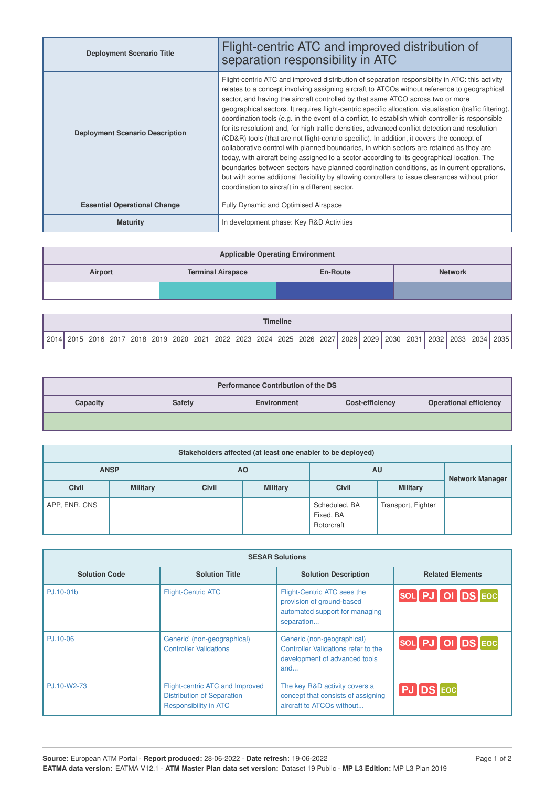| <b>Deployment Scenario Title</b>       | Flight-centric ATC and improved distribution of<br>separation responsibility in ATC                                                                                                                                                                                                                                                                                                                                                                                                                                                                                                                                                                                                                                                                                                                                                                                                                                                                                                                                                                                                                                                                |
|----------------------------------------|----------------------------------------------------------------------------------------------------------------------------------------------------------------------------------------------------------------------------------------------------------------------------------------------------------------------------------------------------------------------------------------------------------------------------------------------------------------------------------------------------------------------------------------------------------------------------------------------------------------------------------------------------------------------------------------------------------------------------------------------------------------------------------------------------------------------------------------------------------------------------------------------------------------------------------------------------------------------------------------------------------------------------------------------------------------------------------------------------------------------------------------------------|
| <b>Deployment Scenario Description</b> | Flight-centric ATC and improved distribution of separation responsibility in ATC: this activity<br>relates to a concept involving assigning aircraft to ATCOs without reference to geographical<br>sector, and having the aircraft controlled by that same ATCO across two or more<br>geographical sectors. It requires flight-centric specific allocation, visualisation (traffic filtering),<br>coordination tools (e.g. in the event of a conflict, to establish which controller is responsible<br>for its resolution) and, for high traffic densities, advanced conflict detection and resolution<br>(CD&R) tools (that are not flight-centric specific). In addition, it covers the concept of<br>collaborative control with planned boundaries, in which sectors are retained as they are<br>today, with aircraft being assigned to a sector according to its geographical location. The<br>boundaries between sectors have planned coordination conditions, as in current operations,<br>but with some additional flexibility by allowing controllers to issue clearances without prior<br>coordination to aircraft in a different sector. |
| <b>Essential Operational Change</b>    | Fully Dynamic and Optimised Airspace                                                                                                                                                                                                                                                                                                                                                                                                                                                                                                                                                                                                                                                                                                                                                                                                                                                                                                                                                                                                                                                                                                               |
| <b>Maturity</b>                        | In development phase: Key R&D Activities                                                                                                                                                                                                                                                                                                                                                                                                                                                                                                                                                                                                                                                                                                                                                                                                                                                                                                                                                                                                                                                                                                           |

| <b>Applicable Operating Environment</b>                           |  |  |  |  |  |  |  |  |
|-------------------------------------------------------------------|--|--|--|--|--|--|--|--|
| <b>Terminal Airspace</b><br><b>Network</b><br>Airport<br>En-Route |  |  |  |  |  |  |  |  |
|                                                                   |  |  |  |  |  |  |  |  |

|                   | <b>Timeline</b> |      |      |  |           |  |           |      |      |          |      |      |      |      |      |      |      |      |      |                   |      |
|-------------------|-----------------|------|------|--|-----------|--|-----------|------|------|----------|------|------|------|------|------|------|------|------|------|-------------------|------|
| 2014 <sub>1</sub> | . 2015 !        | 2016 | 0017 |  | 2018 2019 |  | 2020 2021 | 2022 | 2023 | . 2024 ا | 2025 | 2026 | 2027 | 2028 | 2029 | 2030 | 2031 | 2032 | 2033 | 2034 <sub>1</sub> | 2035 |

| <b>Performance Contribution of the DS</b> |               |             |                        |                               |  |  |  |  |
|-------------------------------------------|---------------|-------------|------------------------|-------------------------------|--|--|--|--|
| Capacity                                  | <b>Safety</b> | Environment | <b>Cost-efficiency</b> | <b>Operational efficiency</b> |  |  |  |  |
|                                           |               |             |                        |                               |  |  |  |  |

| Stakeholders affected (at least one enabler to be deployed) |                 |              |                 |                                          |                        |  |  |  |
|-------------------------------------------------------------|-----------------|--------------|-----------------|------------------------------------------|------------------------|--|--|--|
|                                                             | <b>ANSP</b>     |              | ΑO              | AU                                       | <b>Network Manager</b> |  |  |  |
| <b>Civil</b>                                                | <b>Military</b> | <b>Civil</b> | <b>Military</b> | <b>Civil</b>                             | <b>Military</b>        |  |  |  |
| APP, ENR, CNS                                               |                 |              |                 | Scheduled, BA<br>Fixed, BA<br>Rotorcraft | Transport, Fighter     |  |  |  |

| <b>SESAR Solutions</b> |                                                                                               |                                                                                                           |                         |  |  |  |  |  |
|------------------------|-----------------------------------------------------------------------------------------------|-----------------------------------------------------------------------------------------------------------|-------------------------|--|--|--|--|--|
| <b>Solution Code</b>   | <b>Solution Title</b>                                                                         | <b>Solution Description</b>                                                                               | <b>Related Elements</b> |  |  |  |  |  |
| PJ.10-01b              | <b>Flight-Centric ATC</b>                                                                     | Flight-Centric ATC sees the<br>provision of ground-based<br>automated support for managing<br>separation  | SOL PJ OI DS EOC        |  |  |  |  |  |
| PJ.10-06               | Generic' (non-geographical)<br><b>Controller Validations</b>                                  | Generic (non-geographical)<br>Controller Validations refer to the<br>development of advanced tools<br>and | SOL PJ OI DS EOC        |  |  |  |  |  |
| PJ.10-W2-73            | Flight-centric ATC and Improved<br><b>Distribution of Separation</b><br>Responsibility in ATC | The key R&D activity covers a<br>concept that consists of assigning<br>aircraft to ATCOs without          | PJ DS EOC               |  |  |  |  |  |